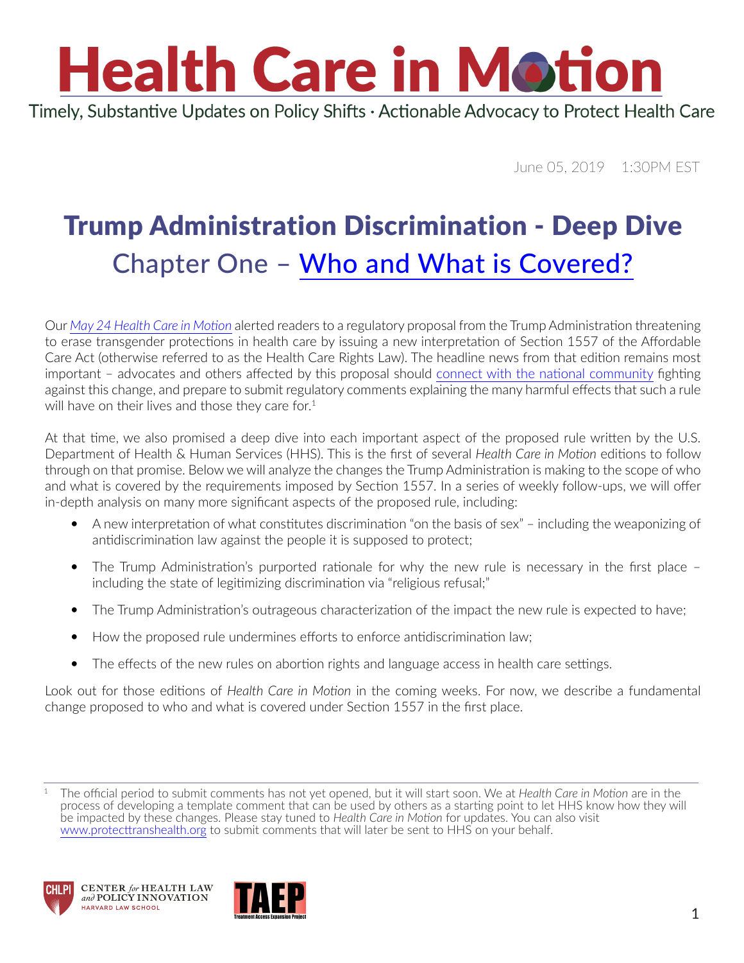Timely, Substantive Updates on Policy Shifts · Actionable Advocacy to Protect Health Care

June 05, 2019 1:30PM EST

### Trump Administration Discrimination - Deep Dive Chapter One – [Who and What is Covered?](https://www.youtube.com/watch?v=_bwZGp0j8FI)

Our *[May 24 Health Care in Motion](https://www.chlpi.org/wp-content/uploads/2013/12/HCIM_5_24_2019.pdf)* alerted readers to a regulatory proposal from the Trump Administration threatening to erase transgender protections in health care by issuing a new interpretation of Section 1557 of the Affordable Care Act (otherwise referred to as the Health Care Rights Law). The headline news from that edition remains most important – advocates and others affected by this proposal should [connect with the national community](https://protecttranshealth.org/) fighting against this change, and prepare to submit regulatory comments explaining the many harmful effects that such a rule will have on their lives and those they care for. $1$ 

At that time, we also promised a deep dive into each important aspect of the proposed rule written by the U.S. Department of Health & Human Services (HHS). This is the first of several *Health Care in Motion* editions to follow through on that promise. Below we will analyze the changes the Trump Administration is making to the scope of who and what is covered by the requirements imposed by Section 1557. In a series of weekly follow-ups, we will offer in-depth analysis on many more significant aspects of the proposed rule, including:

- A new interpretation of what constitutes discrimination "on the basis of sex" including the weaponizing of antidiscrimination law against the people it is supposed to protect;
- The Trump Administration's purported rationale for why the new rule is necessary in the first place including the state of legitimizing discrimination via "religious refusal;"
- The Trump Administration's outrageous characterization of the impact the new rule is expected to have;
- How the proposed rule undermines efforts to enforce antidiscrimination law;
- The effects of the new rules on abortion rights and language access in health care settings.

Look out for those editions of *Health Care in Motion* in the coming weeks. For now, we describe a fundamental change proposed to who and what is covered under Section 1557 in the first place.

<sup>1</sup> The official period to submit comments has not yet opened, but it will start soon. We at *Health Care in Motion* are in the process of developing a template comment that can be used by others as a starting point to let HHS know how they will be impacted by these changes. Please stay tuned to *Health Care in Motion* for updates. You can also visit [www.protecttranshealth.org](http://www.protecttranshealth.org/) to submit comments that will later be sent to HHS on your behalf.





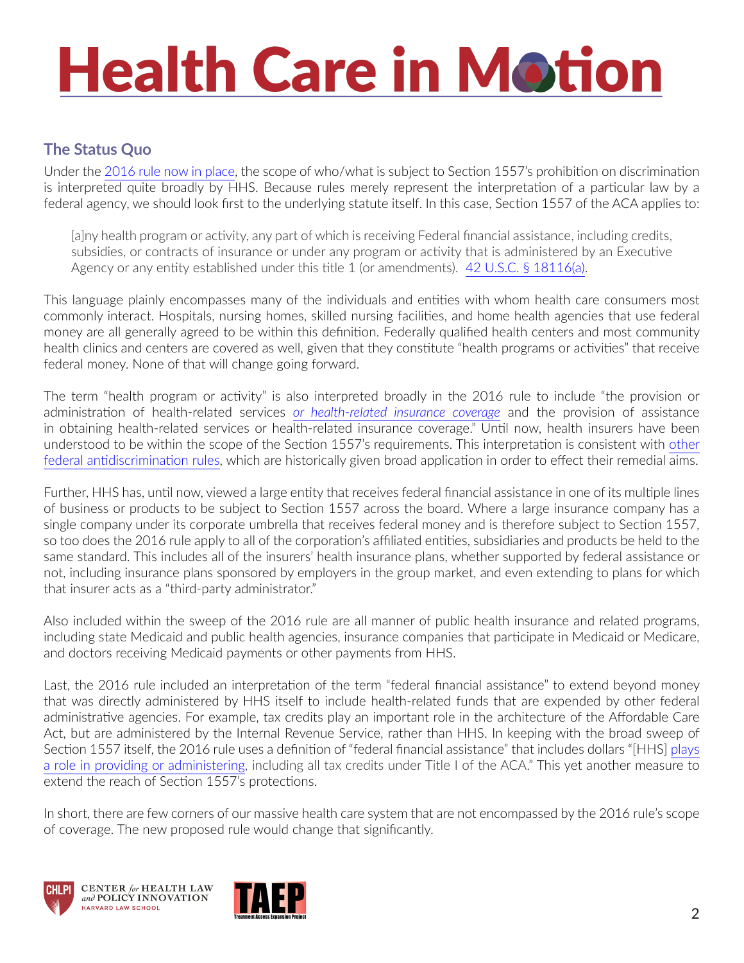#### **The Status Quo**

Under the [2016 rule now in place](https://www.govinfo.gov/content/pkg/FR-2016-05-18/pdf/2016-11458.pdf), the scope of who/what is subject to Section 1557's prohibition on discrimination is interpreted quite broadly by HHS. Because rules merely represent the interpretation of a particular law by a federal agency, we should look first to the underlying statute itself. In this case, Section 1557 of the ACA applies to:

[a]ny health program or activity, any part of which is receiving Federal financial assistance, including credits, subsidies, or contracts of insurance or under any program or activity that is administered by an Executive Agency or any entity established under this title 1 (or amendments). [42 U.S.C. § 18116\(a\)](https://www.govinfo.gov/content/pkg/USCODE-2010-title42/pdf/USCODE-2010-title42-chap157-subchapVI-sec18116.pdf).

This language plainly encompasses many of the individuals and entities with whom health care consumers most commonly interact. Hospitals, nursing homes, skilled nursing facilities, and home health agencies that use federal money are all generally agreed to be within this definition. Federally qualified health centers and most community health clinics and centers are covered as well, given that they constitute "health programs or activities" that receive federal money. None of that will change going forward.

The term "health program or activity" is also interpreted broadly in the 2016 rule to include "the provision or administration of health-related services *[or health-related insurance coverage](https://gov.ecfr.io/cgi-bin/text-idx?SID=d45c25f909aabbb5c866a0e808035896&mc=true&node=se45.1.92_14&rgn=div8)* and the provision of assistance in obtaining health-related services or health-related insurance coverage." Until now, health insurers have been understood to be within the scope of the Section 1557's requirements. This interpretation is consistent with other federal antidiscrimination rules, which are historically given broad application in order to effect their remedial aims.

Further, HHS has, until now, viewed a large entity that receives federal financial assistance in one of its multiple lines of business or products to be subject to Section 1557 across the board. Where a large insurance company has a single company under its corporate umbrella that receives federal money and is therefore subject to Section 1557, so too does the 2016 rule apply to all of the corporation's affiliated entities, subsidiaries and products be held to the same standard. This includes all of the insurers' health insurance plans, whether supported by federal assistance or not, including insurance plans sponsored by employers in the group market, and even extending to plans for which that insurer acts as a "third-party administrator."

Also included within the sweep of the 2016 rule are all manner of public health insurance and related programs, including state Medicaid and public health agencies, insurance companies that participate in Medicaid or Medicare, and doctors receiving Medicaid payments or other payments from HHS.

Last, the 2016 rule included an interpretation of the term "federal financial assistance" to extend beyond money that was directly administered by HHS itself to include health-related funds that are expended by other federal administrative agencies. For example, tax credits play an important role in the architecture of the Affordable Care Act, but are administered by the Internal Revenue Service, rather than HHS. In keeping with the broad sweep of Section 1557 itself, the 2016 rule uses a definition of "federal financial assistance" that includes dollars "[HHS] [plays](https://gov.ecfr.io/cgi-bin/text-idx?SID=d45c25f909aabbb5c866a0e808035896&mc=true&node=se45.1.92_14&rgn=div8)  [a role in providing or administering](https://gov.ecfr.io/cgi-bin/text-idx?SID=d45c25f909aabbb5c866a0e808035896&mc=true&node=se45.1.92_14&rgn=div8), including all tax credits under Title I of the ACA." This yet another measure to extend the reach of Section 1557's protections.

In short, there are few corners of our massive health care system that are not encompassed by the 2016 rule's scope of coverage. The new proposed rule would change that significantly.





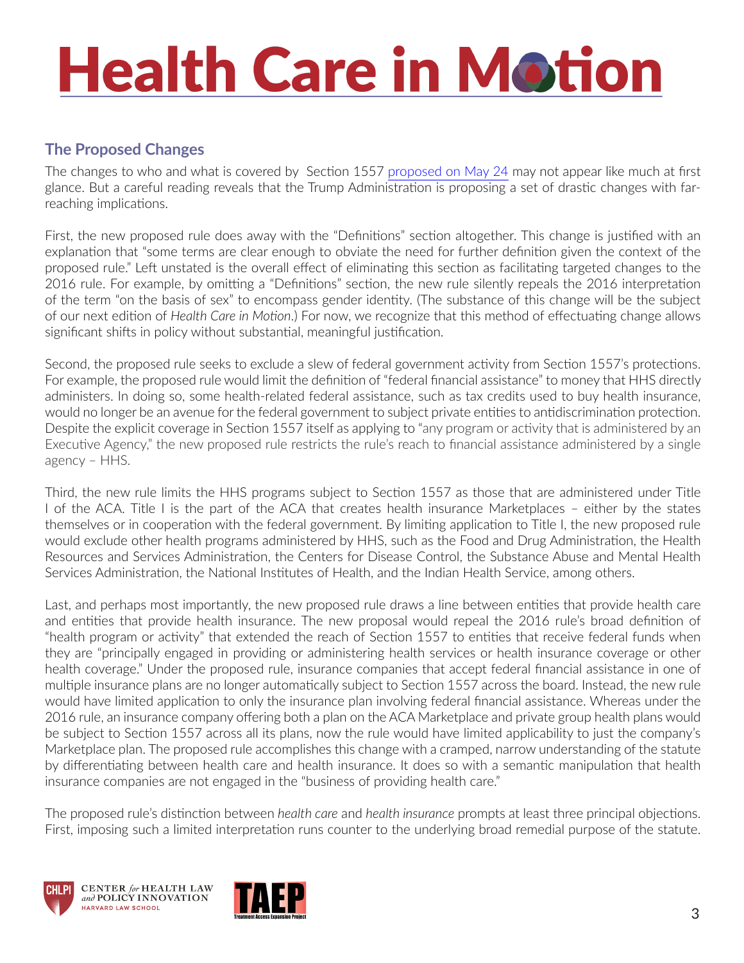#### **The Proposed Changes**

The changes to who and what is covered by Section 1557 [proposed on May 24](https://www.hhs.gov/sites/default/files/1557-nprm-hhs.pdf) may not appear like much at first glance. But a careful reading reveals that the Trump Administration is proposing a set of drastic changes with farreaching implications.

First, the new proposed rule does away with the "Definitions" section altogether. This change is justified with an explanation that "some terms are clear enough to obviate the need for further definition given the context of the proposed rule." Left unstated is the overall effect of eliminating this section as facilitating targeted changes to the 2016 rule. For example, by omitting a "Definitions" section, the new rule silently repeals the 2016 interpretation of the term "on the basis of sex" to encompass gender identity. (The substance of this change will be the subject of our next edition of *Health Care in Motion*.) For now, we recognize that this method of effectuating change allows significant shifts in policy without substantial, meaningful justification.

Second, the proposed rule seeks to exclude a slew of federal government activity from Section 1557's protections. For example, the proposed rule would limit the definition of "federal financial assistance" to money that HHS directly administers. In doing so, some health-related federal assistance, such as tax credits used to buy health insurance, would no longer be an avenue for the federal government to subject private entities to antidiscrimination protection. Despite the explicit coverage in Section 1557 itself as applying to "any program or activity that is administered by an Executive Agency," the new proposed rule restricts the rule's reach to financial assistance administered by a single agency – HHS.

Third, the new rule limits the HHS programs subject to Section 1557 as those that are administered under Title I of the ACA. Title I is the part of the ACA that creates health insurance Marketplaces – either by the states themselves or in cooperation with the federal government. By limiting application to Title I, the new proposed rule would exclude other health programs administered by HHS, such as the Food and Drug Administration, the Health Resources and Services Administration, the Centers for Disease Control, the Substance Abuse and Mental Health Services Administration, the National Institutes of Health, and the Indian Health Service, among others.

Last, and perhaps most importantly, the new proposed rule draws a line between entities that provide health care and entities that provide health insurance. The new proposal would repeal the 2016 rule's broad definition of "health program or activity" that extended the reach of Section 1557 to entities that receive federal funds when they are "principally engaged in providing or administering health services or health insurance coverage or other health coverage." Under the proposed rule, insurance companies that accept federal financial assistance in one of multiple insurance plans are no longer automatically subject to Section 1557 across the board. Instead, the new rule would have limited application to only the insurance plan involving federal financial assistance. Whereas under the 2016 rule, an insurance company offering both a plan on the ACA Marketplace and private group health plans would be subject to Section 1557 across all its plans, now the rule would have limited applicability to just the company's Marketplace plan. The proposed rule accomplishes this change with a cramped, narrow understanding of the statute by differentiating between health care and health insurance. It does so with a semantic manipulation that health insurance companies are not engaged in the "business of providing health care."

The proposed rule's distinction between *health care* and *health insurance* prompts at least three principal objections. First, imposing such a limited interpretation runs counter to the underlying broad remedial purpose of the statute.





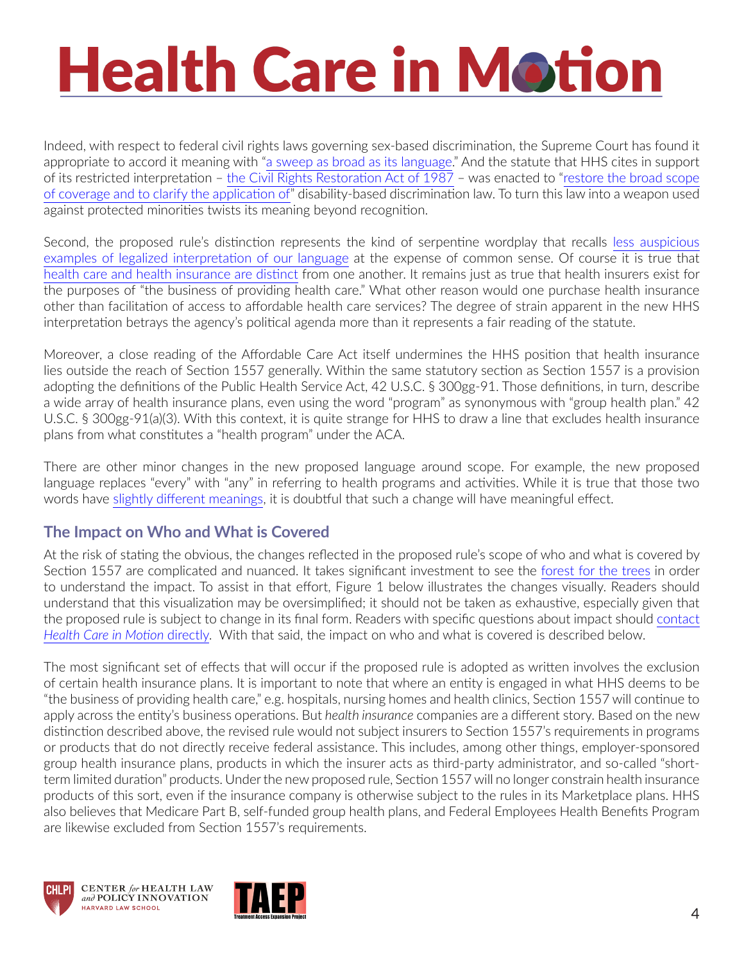Indeed, with respect to federal civil rights laws governing sex-based discrimination, the Supreme Court has found it appropriate to accord it meaning with ["a sweep as broad as its language](https://caselaw.findlaw.com/us-supreme-court/465/555.html)." And the statute that HHS cites in support of its restricted interpretation – [the Civil Rights Restoration Act of 1987](https://www.politico.com/story/2018/03/22/congress-overrides-reagan-civil-rights-veto-march-22-1988-470686) – was enacted to "[restore the broad scope](https://www.govinfo.gov/content/pkg/STATUTE-102/pdf/STATUTE-102-Pg28.pdf)  [of coverage and to clarify the application of"](https://www.govinfo.gov/content/pkg/STATUTE-102/pdf/STATUTE-102-Pg28.pdf) disability-based discrimination law. To turn this law into a weapon used against protected minorities twists its meaning beyond recognition.

Second, the proposed rule's distinction represents the kind of serpentine wordplay that recalls [less auspicious](https://www.youtube.com/watch?v=j_sEgG7W9qE)  [examples of legalized interpretation of our language](https://www.youtube.com/watch?v=j_sEgG7W9qE) at the expense of common sense. Of course it is true that [health care and health insurance are distinct](https://supreme.justia.com/cases/federal/us/567/519/) from one another. It remains just as true that health insurers exist for the purposes of "the business of providing health care." What other reason would one purchase health insurance other than facilitation of access to affordable health care services? The degree of strain apparent in the new HHS interpretation betrays the agency's political agenda more than it represents a fair reading of the statute.

Moreover, a close reading of the Affordable Care Act itself undermines the HHS position that health insurance lies outside the reach of Section 1557 generally. Within the same statutory section as Section 1557 is a provision adopting the definitions of the Public Health Service Act, 42 U.S.C. § 300gg-91. Those definitions, in turn, describe a wide array of health insurance plans, even using the word "program" as synonymous with "group health plan." 42 U.S.C. § 300gg-91(a)(3). With this context, it is quite strange for HHS to draw a line that excludes health insurance plans from what constitutes a "health program" under the ACA.

There are other minor changes in the new proposed language around scope. For example, the new proposed language replaces "every" with "any" in referring to health programs and activities. While it is true that those two words have [slightly different meanings,](https://dictionary.cambridge.org/us/grammar/british-grammar/quantifiers/any) it is doubtful that such a change will have meaningful effect.

#### **The Impact on Who and What is Covered**

At the risk of stating the obvious, the changes reflected in the proposed rule's scope of who and what is covered by Section 1557 are complicated and nuanced. It takes significant investment to see the [forest for the trees](https://images.app.goo.gl/wHzL2MRouHb3Rn256) in order to understand the impact. To assist in that effort, Figure 1 below illustrates the changes visually. Readers should understand that this visualization may be oversimplified; it should not be taken as exhaustive, especially given that the proposed rule is subject to change in its final form. Readers with specific questions about impact should [contact](mailto:Costello,%20Kevin%20%3ckcostello@law.harvard.edu%3e)  *[Health Care in Motion](mailto:Costello,%20Kevin%20%3ckcostello@law.harvard.edu%3e)* directly. With that said, the impact on who and what is covered is described below.

The most significant set of effects that will occur if the proposed rule is adopted as written involves the exclusion of certain health insurance plans. It is important to note that where an entity is engaged in what HHS deems to be "the business of providing health care," e.g. hospitals, nursing homes and health clinics, Section 1557 will continue to apply across the entity's business operations. But *health insurance* companies are a different story. Based on the new distinction described above, the revised rule would not subject insurers to Section 1557's requirements in programs or products that do not directly receive federal assistance. This includes, among other things, employer-sponsored group health insurance plans, products in which the insurer acts as third-party administrator, and so-called "shortterm limited duration" products. Under the new proposed rule, Section 1557 will no longer constrain health insurance products of this sort, even if the insurance company is otherwise subject to the rules in its Marketplace plans. HHS also believes that Medicare Part B, self-funded group health plans, and Federal Employees Health Benefits Program are likewise excluded from Section 1557's requirements.





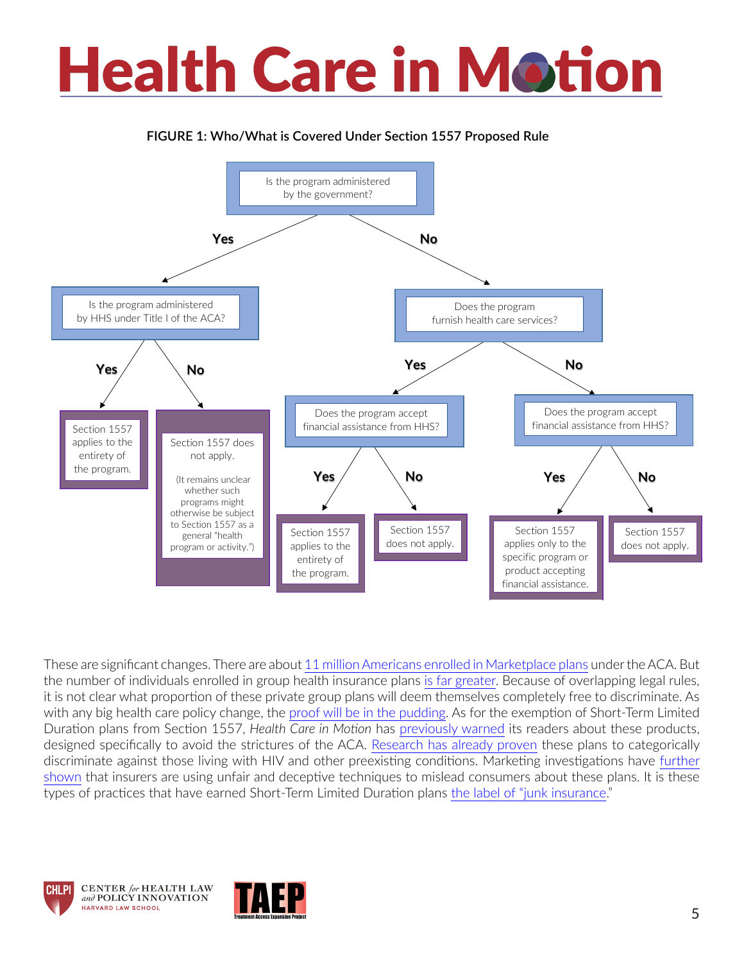#### **FIGURE 1: Who/What is Covered Under Section 1557 Proposed Rule**



These are significant changes. There are about [11 million Americans enrolled in Marketplace plans](https://www.kff.org/health-reform/state-indicator/marketplace-enrollment/?currentTimeframe=0&sortModel=%7B%22colId%22:%22Location%22,%22sort%22:%22asc%22%7D) under the ACA. But the number of individuals enrolled in group health insurance plans [is far greater](http://acasignups.net/estimates/coverage). Because of overlapping legal rules, it is not clear what proportion of these private group plans will deem themselves completely free to discriminate. As with any big health care policy change, the [proof will be in the pudding.](https://www.youtube.com/watch?v=bTtFYWiZL7M) As for the exemption of Short-Term Limited Duration plans from Section 1557, *Health Care in Motion* has [previously warned](https://www.chlpi.org/wp-content/uploads/2013/12/HCIM_11_14_2018.pdf) its readers about these products, designed specifically to avoid the strictures of the ACA. [Research has already proven](https://www.kff.org/hivaids/issue-brief/short-term-limited-duration-plans-and-hiv/) these plans to categorically discriminate against those living with HIV and other preexisting conditions. Marketing investigations have [further](https://www.rwjf.org/en/library/research/2019/01/the-marketing-of-short-term-health-plans.html)  [shown](https://www.rwjf.org/en/library/research/2019/01/the-marketing-of-short-term-health-plans.html) that insurers are using unfair and deceptive techniques to mislead consumers about these plans. It is these types of practices that have earned Short-Term Limited Duration plans [the label of "junk insurance](https://www.nytimes.com/2018/08/01/us/politics/trump-short-term-health-insurance.html)."